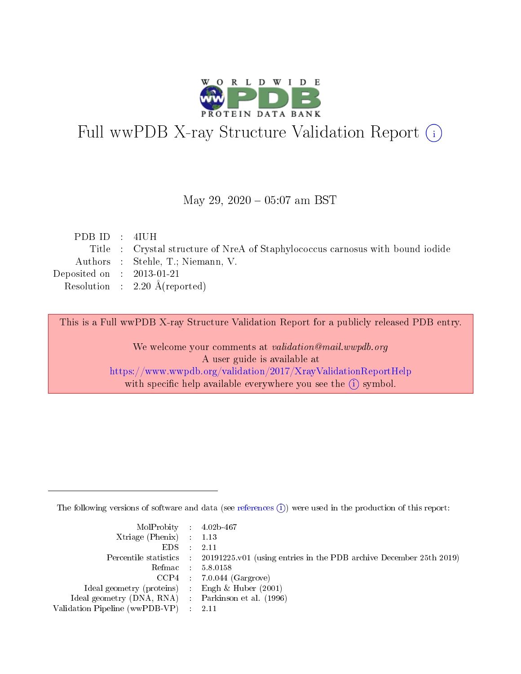

# Full wwPDB X-ray Structure Validation Report (i)

#### May 29,  $2020 - 05:07$  am BST

| PDBID : 4IUH                |                                                                                |
|-----------------------------|--------------------------------------------------------------------------------|
|                             | Title : Crystal structure of NreA of Staphylococcus carnosus with bound iodide |
|                             | Authors : Stehle, T.; Niemann, V.                                              |
| Deposited on : $2013-01-21$ |                                                                                |
|                             | Resolution : $2.20 \text{ Å}$ (reported)                                       |
|                             |                                                                                |

This is a Full wwPDB X-ray Structure Validation Report for a publicly released PDB entry.

We welcome your comments at validation@mail.wwpdb.org A user guide is available at <https://www.wwpdb.org/validation/2017/XrayValidationReportHelp> with specific help available everywhere you see the  $(i)$  symbol.

The following versions of software and data (see [references](https://www.wwpdb.org/validation/2017/XrayValidationReportHelp#references)  $(i)$ ) were used in the production of this report:

| MolProbity : 4.02b-467                              |                                                                                            |
|-----------------------------------------------------|--------------------------------------------------------------------------------------------|
| Xtriage (Phenix) $: 1.13$                           |                                                                                            |
| $EDS = 2.11$                                        |                                                                                            |
|                                                     | Percentile statistics : 20191225.v01 (using entries in the PDB archive December 25th 2019) |
|                                                     | Refmac : 5.8.0158                                                                          |
|                                                     | $CCP4$ : 7.0.044 (Gargrove)                                                                |
| Ideal geometry (proteins) : Engh $\&$ Huber (2001)  |                                                                                            |
| Ideal geometry (DNA, RNA) : Parkinson et al. (1996) |                                                                                            |
| Validation Pipeline (wwPDB-VP) : 2.11               |                                                                                            |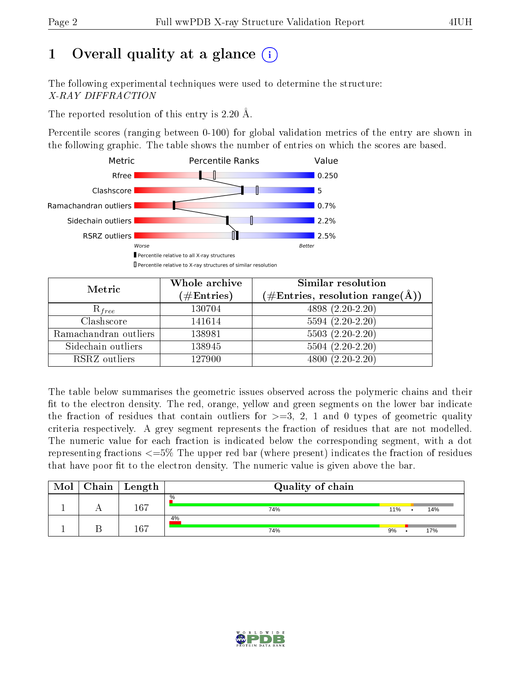# 1 [O](https://www.wwpdb.org/validation/2017/XrayValidationReportHelp#overall_quality)verall quality at a glance  $(i)$

The following experimental techniques were used to determine the structure: X-RAY DIFFRACTION

The reported resolution of this entry is 2.20 Å.

Percentile scores (ranging between 0-100) for global validation metrics of the entry are shown in the following graphic. The table shows the number of entries on which the scores are based.



| Metric                | Whole archive<br>$(\#\mathrm{Entries})$ | Similar resolution<br>$(\#\text{Entries}, \text{resolution range}(\text{\AA}))$ |  |  |
|-----------------------|-----------------------------------------|---------------------------------------------------------------------------------|--|--|
| $R_{free}$            | 130704                                  | 4898 (2.20-2.20)                                                                |  |  |
| Clashscore            | 141614                                  | $5594(2.20-2.20)$                                                               |  |  |
| Ramachandran outliers | 138981                                  | $\overline{5503}$ $(2.20-2.20)$                                                 |  |  |
| Sidechain outliers    | 138945                                  | $5504(2.20-2.20)$                                                               |  |  |
| RSRZ outliers         | 127900                                  | $4800(2.20-2.20)$                                                               |  |  |

The table below summarises the geometric issues observed across the polymeric chains and their fit to the electron density. The red, orange, yellow and green segments on the lower bar indicate the fraction of residues that contain outliers for  $>=3, 2, 1$  and 0 types of geometric quality criteria respectively. A grey segment represents the fraction of residues that are not modelled. The numeric value for each fraction is indicated below the corresponding segment, with a dot representing fractions  $\epsilon=5\%$  The upper red bar (where present) indicates the fraction of residues that have poor fit to the electron density. The numeric value is given above the bar.

| Mol | ${\rm Chain \mid Length}$ | Quality of chain |     |     |
|-----|---------------------------|------------------|-----|-----|
|     | 167                       | $\%$<br>74%      | 11% | 14% |
|     | 167                       | 4%<br>74%        | 9%  | 17% |

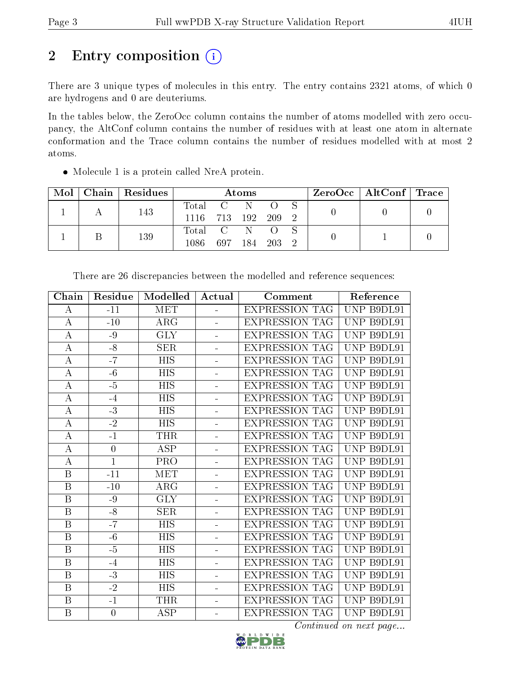# 2 Entry composition (i)

There are 3 unique types of molecules in this entry. The entry contains 2321 atoms, of which 0 are hydrogens and 0 are deuteriums.

In the tables below, the ZeroOcc column contains the number of atoms modelled with zero occupancy, the AltConf column contains the number of residues with at least one atom in alternate conformation and the Trace column contains the number of residues modelled with at most 2 atoms.

| Mol |  | Chain   Residues | Atoms   |     |      |          |               | ZeroOcc   AltConf   Trace |  |
|-----|--|------------------|---------|-----|------|----------|---------------|---------------------------|--|
|     |  | 143              | Total C |     |      |          |               |                           |  |
|     |  | 1116 713 192     |         |     | -209 | $\Omega$ |               |                           |  |
|     |  | 139              | Total C |     | N.   |          |               |                           |  |
|     |  |                  | 1086.   | 697 | 184  | - 203    | $\mathcal{D}$ |                           |  |

Molecule 1 is a protein called NreA protein.

| Chain                   | Residue          | Modelled                | Actual         | Comment               | Reference  |
|-------------------------|------------------|-------------------------|----------------|-----------------------|------------|
| A                       | $-11$            | MET                     | $\equiv$       | <b>EXPRESSION TAG</b> | UNP B9DL91 |
| $\mathbf A$             | $-10$            | $\rm{ARG}$              |                | <b>EXPRESSION TAG</b> | UNP B9DL91 |
| $\bf{A}$                | $-9$             | <b>GLY</b>              |                | <b>EXPRESSION TAG</b> | UNP B9DL91 |
| $\bf{A}$                | $-8$             | SER                     | L,             | <b>EXPRESSION TAG</b> | UNP B9DL91 |
| $\bf{A}$                | $-\overline{7}$  | <b>HIS</b>              | $\blacksquare$ | <b>EXPRESSION TAG</b> | UNP B9DL91 |
| $\bf{A}$                | $-6$             | <b>HIS</b>              | ÷,             | <b>EXPRESSION TAG</b> | UNP B9DL91 |
| $\bf{A}$                | $-5$             | <b>HIS</b>              | $\overline{a}$ | <b>EXPRESSION TAG</b> | UNP B9DL91 |
| $\overline{A}$          | $-4$             | <b>HIS</b>              | $\blacksquare$ | <b>EXPRESSION TAG</b> | UNP B9DL91 |
| $\bf{A}$                | $-3$             | <b>HIS</b>              | $\overline{a}$ | <b>EXPRESSION TAG</b> | UNP B9DL91 |
| $\overline{A}$          | $\overline{-2}$  | $\overline{HIS}$        | L,             | <b>EXPRESSION TAG</b> | UNP B9DL91 |
| $\bf{A}$                | $-1$             | THR                     | $\equiv$       | <b>EXPRESSION TAG</b> | UNP B9DL91 |
| A                       | $\boldsymbol{0}$ | <b>ASP</b>              | ÷,             | <b>EXPRESSION TAG</b> | UNP B9DL91 |
| $\boldsymbol{A}$        | $\mathbf{1}$     | PRO                     | $\overline{a}$ | <b>EXPRESSION TAG</b> | UNP B9DL91 |
| $\, {\bf B}$            | $-11$            | <b>MET</b>              | ÷,             | <b>EXPRESSION TAG</b> | UNP B9DL91 |
| $\, {\bf B}$            | $-10$            | ARG                     | $\overline{a}$ | <b>EXPRESSION TAG</b> | UNP B9DL91 |
| $\mathbf B$             | -9               | <b>GLY</b>              | ÷              | <b>EXPRESSION TAG</b> | UNP B9DL91 |
| $\overline{\mathrm{B}}$ | $-\overline{8}$  | $\overline{\text{SER}}$ | ÷,             | <b>EXPRESSION TAG</b> | UNP B9DL91 |
| $\overline{B}$          | $-7$             | <b>HIS</b>              | ÷,             | <b>EXPRESSION TAG</b> | UNP B9DL91 |
| B                       | $-6$             | HIS                     |                | <b>EXPRESSION TAG</b> | UNP B9DL91 |
| $\mathbf B$             | $-5$             | <b>HIS</b>              | L,             | <b>EXPRESSION TAG</b> | UNP B9DL91 |
| B                       | $-4$             | HIS                     | L,             | <b>EXPRESSION TAG</b> | UNP B9DL91 |
| $\, {\bf B}$            | $-3$             | <b>HIS</b>              | $\blacksquare$ | <b>EXPRESSION TAG</b> | UNP B9DL91 |
| B                       | $-2$             | HIS                     | ÷,             | <b>EXPRESSION TAG</b> | UNP B9DL91 |
| $\, {\bf B}$            | $-1$             | <b>THR</b>              | $\overline{a}$ | <b>EXPRESSION TAG</b> | UNP B9DL91 |
| $\overline{B}$          | $\boldsymbol{0}$ | $\overline{\text{ASP}}$ | $\overline{a}$ | <b>EXPRESSION TAG</b> | UNP B9DL91 |
|                         |                  |                         |                |                       |            |

There are 26 discrepancies between the modelled and reference sequences:

Continued on next page...

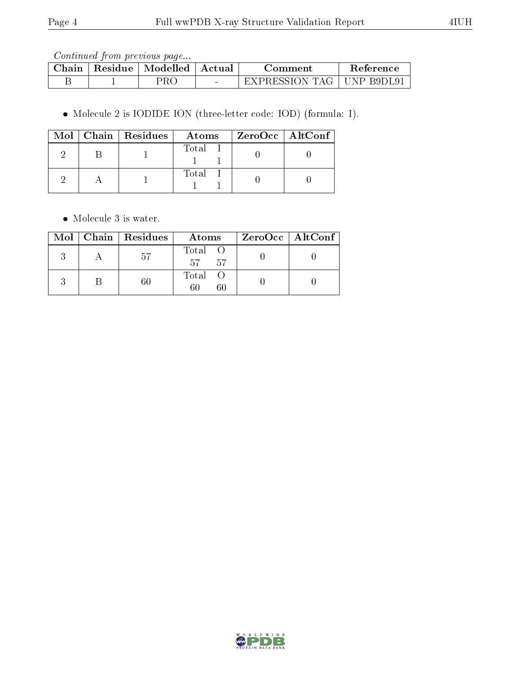Continued from previous page...

| $\cap$ hain | Residue | Modelled | Actual          | Jomment.               | Reference  |
|-------------|---------|----------|-----------------|------------------------|------------|
|             |         | PR C     | $\qquad \qquad$ | - EXPRESSION '1<br>TAT | INP B9DL91 |

Molecule 2 is IODIDE ION (three-letter code: IOD) (formula: I).

|  | $Mol$   Chain   Residues | Atoms | ZeroOcc   AltConf |  |
|--|--------------------------|-------|-------------------|--|
|  |                          | Total |                   |  |
|  |                          | Total |                   |  |

• Molecule 3 is water.

|  | $Mol$   Chain   Residues | Atoms                 | $ZeroOcc \   \ AltConf \  $ |
|--|--------------------------|-----------------------|-----------------------------|
|  | 57                       | Total O<br>57<br>- 57 |                             |
|  |                          | Total O<br>60<br>60   |                             |

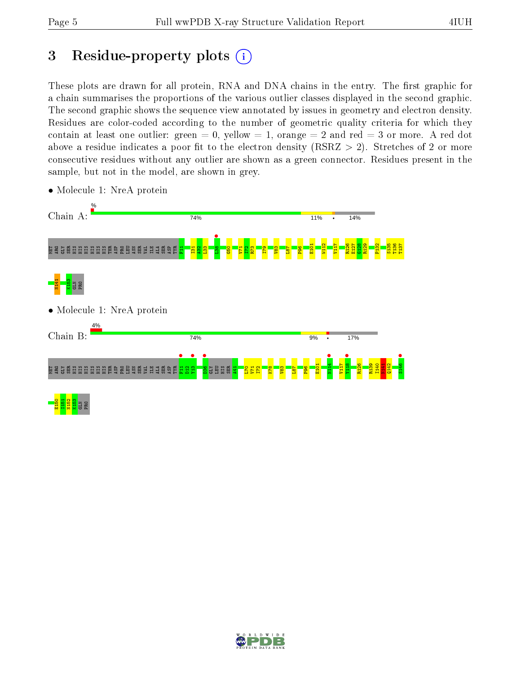# 3 Residue-property plots  $(i)$

These plots are drawn for all protein, RNA and DNA chains in the entry. The first graphic for a chain summarises the proportions of the various outlier classes displayed in the second graphic. The second graphic shows the sequence view annotated by issues in geometry and electron density. Residues are color-coded according to the number of geometric quality criteria for which they contain at least one outlier: green  $= 0$ , yellow  $= 1$ , orange  $= 2$  and red  $= 3$  or more. A red dot above a residue indicates a poor fit to the electron density (RSRZ  $> 2$ ). Stretches of 2 or more consecutive residues without any outlier are shown as a green connector. Residues present in the sample, but not in the model, are shown in grey.



• Molecule 1: NreA protein

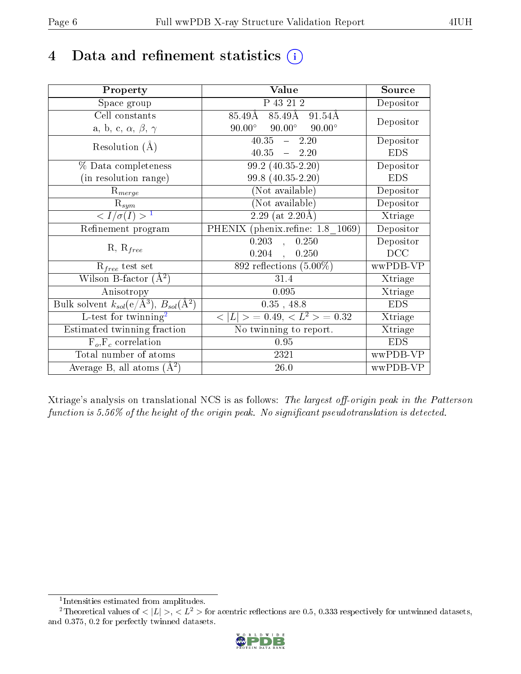## 4 Data and refinement statistics  $(i)$

| Property                                                             | Value                                           | Source     |
|----------------------------------------------------------------------|-------------------------------------------------|------------|
| Space group                                                          | $\overline{P}$ 43 21 2                          | Depositor  |
| Cell constants                                                       | $85.49\text{\AA}$<br>85.49Å<br>91.54Å           |            |
| a, b, c, $\alpha$ , $\beta$ , $\gamma$                               | $90.00^{\circ}$ $90.00^{\circ}$ $90.00^{\circ}$ | Depositor  |
| Resolution $(A)$                                                     | $40.35 - 2.20$                                  | Depositor  |
|                                                                      | $40.35 - 2.20$                                  | <b>EDS</b> |
| % Data completeness                                                  | $99.2(40.35-2.20)$                              | Depositor  |
| (in resolution range)                                                | 99.8 (40.35-2.20)                               | <b>EDS</b> |
| $R_{merge}$                                                          | (Not available)                                 | Depositor  |
| $\mathrm{R}_{sym}$                                                   | (Not available)                                 | Depositor  |
| $\langle I/\sigma(I) \rangle^{-1}$                                   | $2.29$ (at 2.20 Å)                              | Xtriage    |
| Refinement program                                                   | PHENIX (phenix.refine: 1.8 1069)                | Depositor  |
|                                                                      | $0.203$ ,<br>0.250                              | Depositor  |
| $R, R_{free}$                                                        | $0.204$ ,<br>0.250                              | DCC        |
| $R_{free}$ test set                                                  | 892 reflections $(5.00\%)$                      | wwPDB-VP   |
| Wilson B-factor $(A^2)$                                              | 31.4                                            | Xtriage    |
| Anisotropy                                                           | 0.095                                           | Xtriage    |
| Bulk solvent $k_{sol}(e/\mathring{A}^3)$ , $B_{sol}(\mathring{A}^2)$ | $0.35$ , 48.8                                   | <b>EDS</b> |
| $L$ -test for twinning <sup>2</sup>                                  | $< L >$ = 0.49, $< L^2 >$ = 0.32                | Xtriage    |
| Estimated twinning fraction                                          | No twinning to report.                          | Xtriage    |
| $F_o, F_c$ correlation                                               | 0.95                                            | <b>EDS</b> |
| Total number of atoms                                                | 2321                                            | wwPDB-VP   |
| Average B, all atoms $(A^2)$                                         | 26.0                                            | wwPDB-VP   |

Xtriage's analysis on translational NCS is as follows: The largest off-origin peak in the Patterson function is  $5.56\%$  of the height of the origin peak. No significant pseudotranslation is detected.

<sup>&</sup>lt;sup>2</sup>Theoretical values of  $\langle |L| \rangle$ ,  $\langle L^2 \rangle$  for acentric reflections are 0.5, 0.333 respectively for untwinned datasets, and 0.375, 0.2 for perfectly twinned datasets.



<span id="page-5-1"></span><span id="page-5-0"></span><sup>1</sup> Intensities estimated from amplitudes.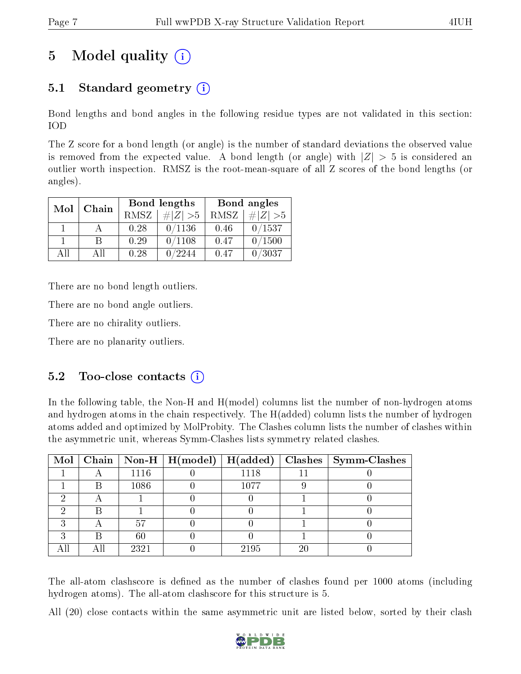# 5 Model quality  $(i)$

### 5.1 Standard geometry (i)

Bond lengths and bond angles in the following residue types are not validated in this section: IOD

The Z score for a bond length (or angle) is the number of standard deviations the observed value is removed from the expected value. A bond length (or angle) with  $|Z| > 5$  is considered an outlier worth inspection. RMSZ is the root-mean-square of all Z scores of the bond lengths (or angles).

| Mol | Chain |      | Bond lengths | Bond angles |             |  |
|-----|-------|------|--------------|-------------|-------------|--|
|     |       | RMSZ | $\# Z  > 5$  | RMSZ        | $\# Z  > 5$ |  |
|     |       | 0.28 | 0/1136       | 0.46        | 0/1537      |  |
|     | R     | 0.29 | 0/1108       | 0.47        | 0/1500      |  |
| ΔH  | A II  | 0.28 | /2244        | 0.47        | 0/3037      |  |

There are no bond length outliers.

There are no bond angle outliers.

There are no chirality outliers.

There are no planarity outliers.

### $5.2$  Too-close contacts  $(i)$

In the following table, the Non-H and H(model) columns list the number of non-hydrogen atoms and hydrogen atoms in the chain respectively. The H(added) column lists the number of hydrogen atoms added and optimized by MolProbity. The Clashes column lists the number of clashes within the asymmetric unit, whereas Symm-Clashes lists symmetry related clashes.

|   |      |      |    | Mol   Chain   Non-H   H(model)   H(added)   Clashes   Symm-Clashes |
|---|------|------|----|--------------------------------------------------------------------|
|   | 1116 | 1118 |    |                                                                    |
| В | 1086 | 1077 |    |                                                                    |
|   |      |      |    |                                                                    |
|   |      |      |    |                                                                    |
|   | 57   |      |    |                                                                    |
|   | 60   |      |    |                                                                    |
|   | 2321 | 2195 | 20 |                                                                    |

The all-atom clashscore is defined as the number of clashes found per 1000 atoms (including hydrogen atoms). The all-atom clashscore for this structure is 5.

All (20) close contacts within the same asymmetric unit are listed below, sorted by their clash

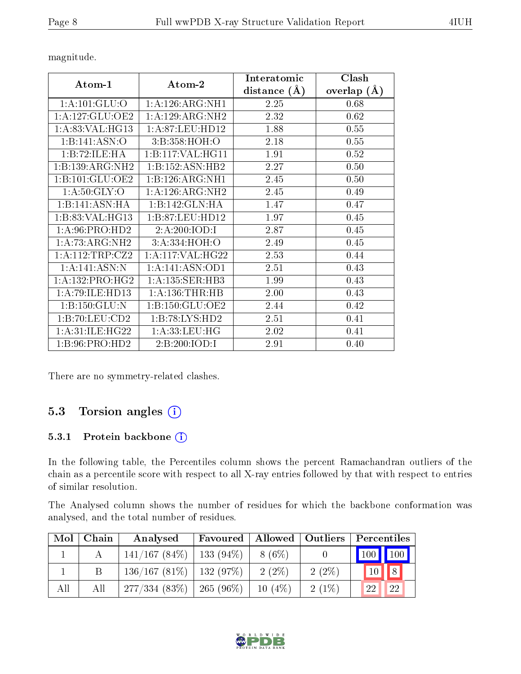$\sqrt{ }$ 

| ${\rm Interatomic}$ | Clash           |
|---------------------|-----------------|
| listance (Å)        | overlap $(\AA)$ |
| 2.25                | 0.68            |
| 2.32                | 0.62            |
| 1.88                | 0.55            |
| 2.18                | 0.55            |
| 1.91                | 0.52            |

magnitude.

| Atom-1 |                              | Atom-2              | Interatomic    | Clash         |
|--------|------------------------------|---------------------|----------------|---------------|
|        |                              |                     | distance $(A)$ | overlap $(A)$ |
|        | 1: A: 101: GLU: O            | 1: A:126:ARG:NH1    | 2.25           | 0.68          |
|        | 1:A:127:GLU:OE2              | 1:A:129:ARG:NH2     | 2.32           | 0.62          |
|        | 1:A:83:VAL:HG13              | 1: A:87: LEU: HD12  | 1.88           | 0.55          |
|        | 1:B:141:ASN:O                | 3:B:358:HOH:O       | 2.18           | 0.55          |
|        | 1:B:72:ILE:HA                | 1:B:117:VAL:HG11    | 1.91           | 0.52          |
|        | 1:B:139:ARG:NH2              | 1:B:152:ASN:HB2     | 2.27           | 0.50          |
|        | 1:B:101:GLU:OE2              | 1:B:126:ARG:NH1     | 2.45           | 0.50          |
|        | 1: A:50: GLY:O               | 1:A:126:ARG:NH2     | 2.45           | 0.49          |
|        | 1:B:141:ASN:HA               | 1:B:142:GLN:HA      | 1.47           | 0.47          |
|        | 1:B:83:VAL:HG13              | 1:B:87:LEU:HD12     | 1.97           | 0.45          |
|        | 1: A:96: PRO:HD2             | 2:A:200:IOD:I       | 2.87           | 0.45          |
|        | 1:A:73:ARG:NH2               | 3:A:334:HOH:O       | 2.49           | 0.45          |
|        | 1:A:112:TRP:CZ2              | 1:A:117:VAL:HG22    | 2.53           | 0.44          |
|        | 1:A:141:ASN:N                | 1: A:141: ASN:OD1   | 2.51           | 0.43          |
|        | $1:A:132:PRO:H\overline{G2}$ | 1: A: 135: SER: HB3 | 1.99           | 0.43          |
|        | 1:A:79:ILE:HD13              | 1: A: 136: THR: HB  | 2.00           | 0.43          |
|        | 1: B: 150: GLU: N            | 1:B:150:GLU:OE2     | 2.44           | 0.42          |
|        | 1:B:70:LEU:CD2               | 1:B:78:LYS:HD2      | 2.51           | 0.41          |
|        | 1: A:31: ILE: HG22           | 1: A: 33: LEU: HG   | 2.02           | 0.41          |
|        | 1: B: 96: PRO: HD2           | 2:B:200:IOD:I       | 2.91           | 0.40          |

There are no symmetry-related clashes.

### 5.3 Torsion angles (i)

#### 5.3.1 Protein backbone (i)

In the following table, the Percentiles column shows the percent Ramachandran outliers of the chain as a percentile score with respect to all X-ray entries followed by that with respect to entries of similar resolution.

The Analysed column shows the number of residues for which the backbone conformation was analysed, and the total number of residues.

| Mol | Chain | Analysed                      | Favoured    |           | Allowed   Outliers | $\mid$ Percentiles           |
|-----|-------|-------------------------------|-------------|-----------|--------------------|------------------------------|
|     |       | $141/167(84\%)$               | $133(94\%)$ | $8(6\%)$  |                    | $\mid$ 100 $\mid$ 100 $\mid$ |
|     |       | $136/167$ (81\%)   132 (97\%) |             | $2(2\%)$  | $2(2\%)$           | $10$ $8$                     |
| All | All   | 277/334(83%)                  | $265(96\%)$ | $10(4\%)$ | $2(1\%)$           | 22<br>22                     |

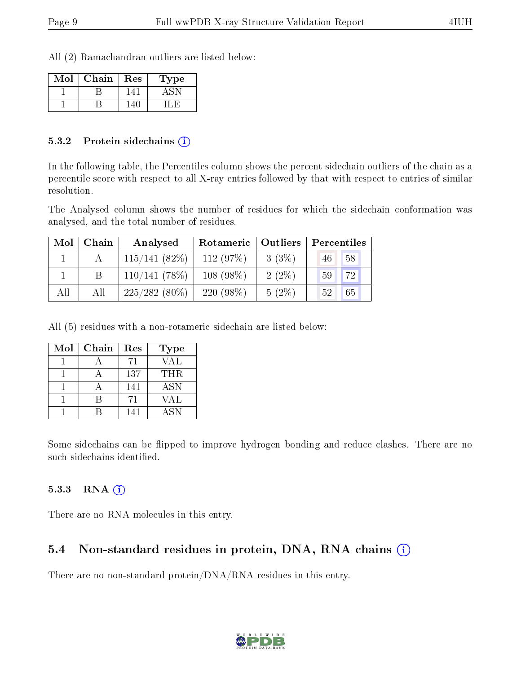All (2) Ramachandran outliers are listed below:

| Mol | Chain | Res | Type |
|-----|-------|-----|------|
|     |       |     |      |
|     |       |     |      |

#### 5.3.2 Protein sidechains  $\hat{I}$

In the following table, the Percentiles column shows the percent sidechain outliers of the chain as a percentile score with respect to all X-ray entries followed by that with respect to entries of similar resolution.

The Analysed column shows the number of residues for which the sidechain conformation was analysed, and the total number of residues.

| Mol | Chain | Outliers<br>Rotameric<br>Analysed |             | Percentiles |                       |
|-----|-------|-----------------------------------|-------------|-------------|-----------------------|
|     |       | 115/141(82%)                      | 112(97%)    | $3(3\%)$    | 58<br>46              |
|     |       | 110/141(78%)                      | $108(98\%)$ | $2(2\%)$    | 72<br>59 <sup>°</sup> |
| All | All   | $225/282(80\%)$                   | $220(98\%)$ | $5(2\%)$    | 65<br>52              |

All (5) residues with a non-rotameric sidechain are listed below:

| Mol | Chain | Res | Type       |
|-----|-------|-----|------------|
|     |       | 71  | VAL        |
|     |       | 137 | THR.       |
|     |       | 141 | <b>ASN</b> |
|     |       | 71  | VAL        |
|     |       | 141 | <b>ASN</b> |

Some sidechains can be flipped to improve hydrogen bonding and reduce clashes. There are no such sidechains identified.

#### $5.3.3$  RNA  $(i)$

There are no RNA molecules in this entry.

### 5.4 Non-standard residues in protein, DNA, RNA chains  $(i)$

There are no non-standard protein/DNA/RNA residues in this entry.

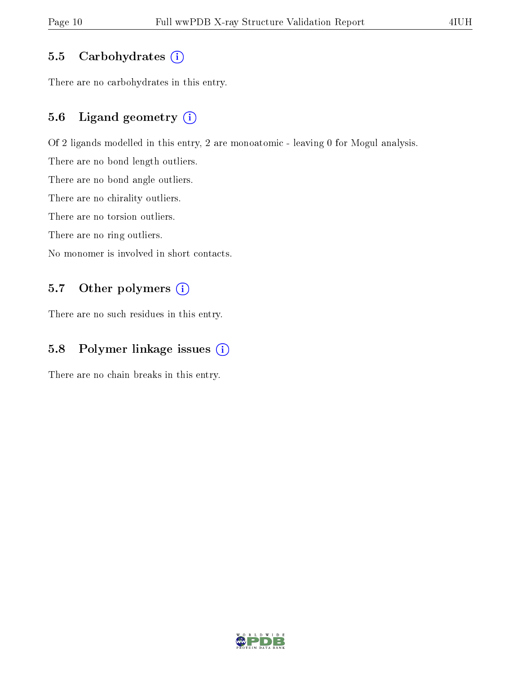#### 5.5 Carbohydrates  $(i)$

There are no carbohydrates in this entry.

#### 5.6 Ligand geometry (i)

Of 2 ligands modelled in this entry, 2 are monoatomic - leaving 0 for Mogul analysis.

There are no bond length outliers.

There are no bond angle outliers.

There are no chirality outliers.

There are no torsion outliers.

There are no ring outliers.

No monomer is involved in short contacts.

### 5.7 [O](https://www.wwpdb.org/validation/2017/XrayValidationReportHelp#nonstandard_residues_and_ligands)ther polymers (i)

There are no such residues in this entry.

#### 5.8 Polymer linkage issues (i)

There are no chain breaks in this entry.

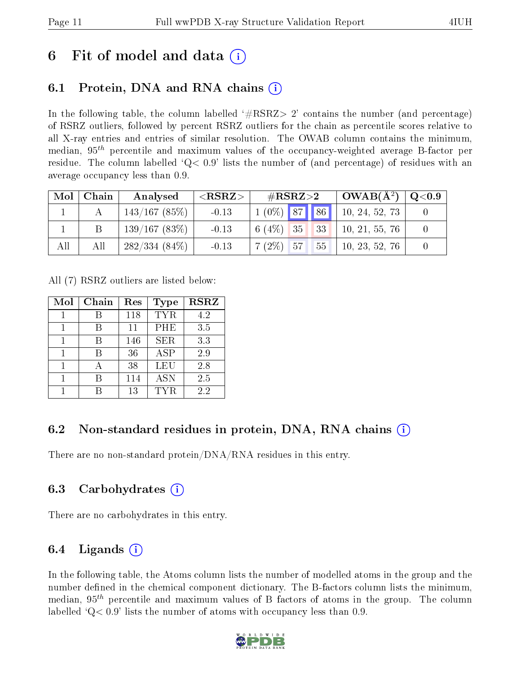## 6 Fit of model and data  $\left( \cdot \right)$

### 6.1 Protein, DNA and RNA chains (i)

In the following table, the column labelled  $#RSRZ>2'$  contains the number (and percentage) of RSRZ outliers, followed by percent RSRZ outliers for the chain as percentile scores relative to all X-ray entries and entries of similar resolution. The OWAB column contains the minimum, median,  $95<sup>th</sup>$  percentile and maximum values of the occupancy-weighted average B-factor per residue. The column labelled  $Q< 0.9$  lists the number of (and percentage) of residues with an average occupancy less than 0.9.

| Mol | $\mid$ Chain | Analysed        | ${ <\hspace{-1.5pt}{\mathrm{RSRZ}} \hspace{-1.5pt}>}$ | $\#\text{RSRZ}{>}2$         | $\vert$ OWAB( $A^2$ ) $\vert$ | $\,^+$ Q<0.9 $\,$ |
|-----|--------------|-----------------|-------------------------------------------------------|-----------------------------|-------------------------------|-------------------|
|     |              | 143/167(85%)    | $-0.13$                                               | $1(0\%)$ 87 86              | 10, 24, 52, 73                |                   |
|     |              | 139/167(83%)    | $-0.13$                                               | 6 (4\%) 35 33 $\frac{1}{2}$ | 10, 21, 55, 76                |                   |
| All | All          | $282/334(84\%)$ | $-0.13$                                               | $7(2\%)$ 57                 | $55 \t   10, 23, 52, 76$      |                   |

All (7) RSRZ outliers are listed below:

| Mol | Chain | Res | Type       | <b>RSRZ</b> |
|-----|-------|-----|------------|-------------|
|     |       | 118 | <b>TYR</b> | 4.2         |
|     |       | 11  | PHE        | 3.5         |
|     |       | 146 | <b>SER</b> | 3.3         |
| 1   | R     | 36  | <b>ASP</b> | 2.9         |
|     |       | 38  | LEU        | 2.8         |
|     |       | 114 | <b>ASN</b> | 2.5         |
|     |       | 13  | TYR.       | 22          |

### 6.2 Non-standard residues in protein, DNA, RNA chains (i)

There are no non-standard protein/DNA/RNA residues in this entry.

### 6.3 Carbohydrates (i)

There are no carbohydrates in this entry.

### 6.4 Ligands  $(i)$

In the following table, the Atoms column lists the number of modelled atoms in the group and the number defined in the chemical component dictionary. The B-factors column lists the minimum, median,  $95<sup>th</sup>$  percentile and maximum values of B factors of atoms in the group. The column labelled  $Q< 0.9$ ' lists the number of atoms with occupancy less than 0.9.